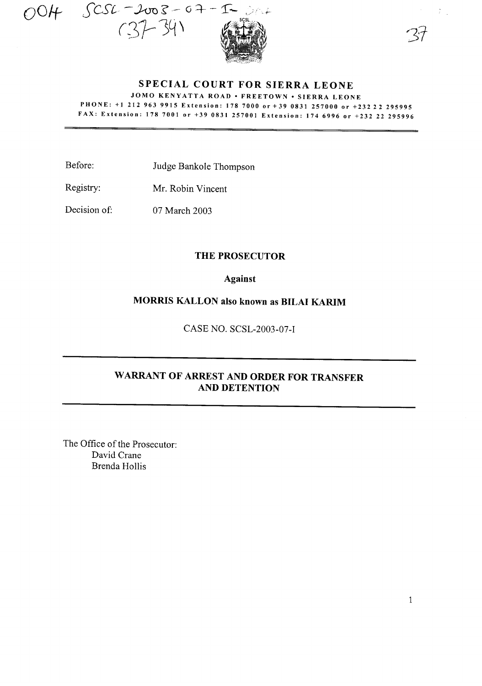

## **SPECIAL COURT FOR SIERRA LEONE**

JOMO KENYATTA ROAD • FREETOWN • SIERRA LEONE PHONE: +1 212 963 9915 Extension: 178 7000 or +39 0831 257000 or +232 22 295995 FAX: Extension: 1787001 or +39 0831257001 Extension: 1746996 or +23222295996

Before: Judge Bankole Thompson

Registry: Mr. Robin Vincent

Decision of: 07 March 2003

#### **THE PROSECUTOR**

**Against**

**MORRIS KALLON also known as BILAI KARIM**

CASE NO. SCSL-2003-07-1

### **WARRANT OF ARREST AND ORDER FOR TRANSFER AND DETENTION**

The Office of the Prosecutor: David Crane Brenda Hollis

31

 $\mathcal{V}_{\rm{obs}}$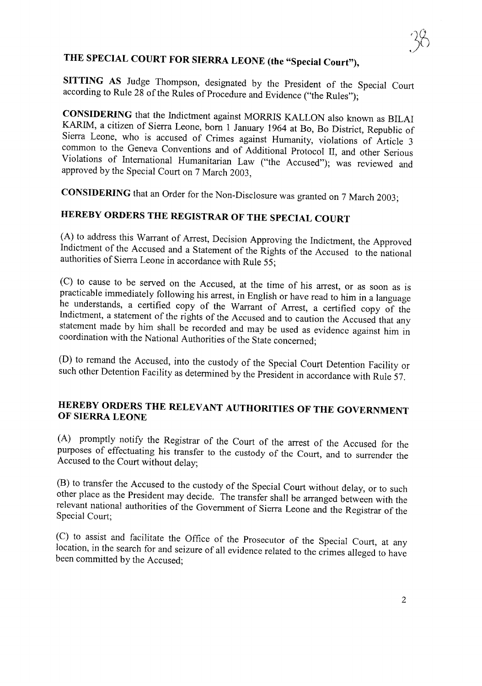# **THE SPECIAL COURT FOR SIERRA LEONE (the "Special Court"),**

**SITTING** AS Judge Thompson, designated by the President of the Special Court according to Rule  $28$  of the Rules of Procedure and Evidence ("the Rules");

**CONSIDERING** that the Indictment against MORRIS KALLON also known as BILAI KARIM, <sup>a</sup> citizen of Sierra Leone, born <sup>1</sup> January <sup>1964</sup> at Bo, Bo District, Republic of Sierra Leone, who is accused of Crimes against Humanity, violations of Article <sup>3</sup> common to the Geneva Conventions and of Additional Protocol II, and other Serious Violations of International Humanitarian Law ("the Accused"); was reviewed and approved by the Special Court on <sup>7</sup> March 2003,

**CONSIDERING** that an Order for the Non-Disclosure was granted on <sup>7</sup> March 2003;

# **HEREBY ORDERS THE REGISTRAR OF THE SPECIAL COURT**

(A) to address this Warrant of Arrest, Decision Approving the Indictment, the Approved Indictment of the Accused and <sup>a</sup> Statement of the Rights of the Accused to the national authorities of Sierra Leone in accordance with Rule 55;

(C) to cause to be served on the Accused, at the time of his arrest, or as soon as is practicable immediately following his arrest, in English or have read to him in <sup>a</sup> language he understands, <sup>a</sup> certified copy of the Warrant of Arrest, <sup>a</sup> certified copy of the Indictment, <sup>a</sup> statement of the rights of the Accused and to caution the Accused that any statement made by him shall be recorded and may be used as evidence against him in coordination with the National Authorities of the State concerned;

(D) to remand the Accused, into the custody of the Special Court Detention Facility or such other Detention Facility as determined by the President in accordance with Rule 57.

## **HEREBY ORDERS THE RELEVANT AUTHORITIES OF THE GOVERNMENT OF SIERRA LEONE**

(A) promptly notify the Registrar of the Court of the arrest of the Accused for the purposes of effectuating his transfer to the custody of the Court, and to surrender the Accused to the Court without delay;

(B) to transfer the Accused to the custody of the Special Court without delay, or to such other <sup>p</sup>lace as the President may decide. The transfer shall be arranged between with the relevant national authorities of the Government of Sierra Leone and the Registrar of the Special Court;

(C) to assist and facilitate the Office of the Prosecutor of the Special Court, at any location, in the search for and seizure of all evidence related to the crimes alleged to have been committed by the Accused;